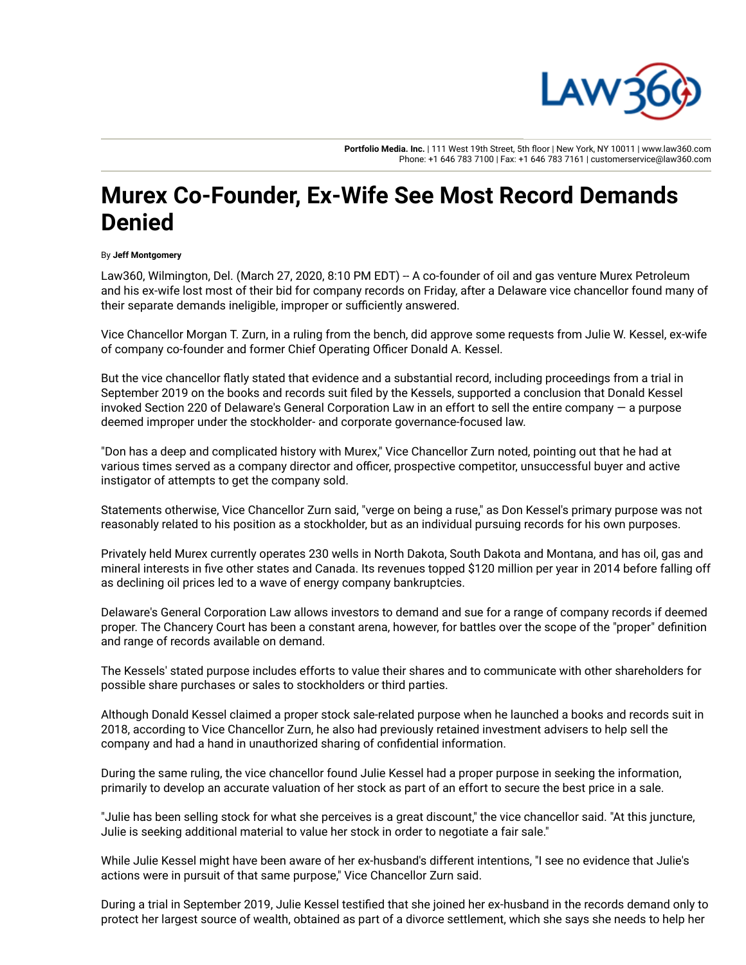

**Portfolio Media. Inc.** | 111 West 19th Street, 5th floor | New York, NY 10011 | www.law360.com Phone: +1 646 783 7100 | Fax: +1 646 783 7161 | customerservice@law360.com

## **Murex Co-Founder, Ex-Wife See Most Record Demands Denied**

## By **Jeff Montgomery**

Law360, Wilmington, Del. (March 27, 2020, 8:10 PM EDT) -- A co-founder of oil and gas venture Murex Petroleum and his ex-wife lost most of their bid for company records on Friday, after a Delaware vice chancellor found many of their separate demands ineligible, improper or sufficiently answered.

Vice Chancellor Morgan T. Zurn, in a ruling from the bench, did approve some requests from Julie W. Kessel, ex-wife of company co-founder and former Chief Operating Officer Donald A. Kessel.

But the vice chancellor flatly stated that evidence and a substantial record, including proceedings from a trial in September 2019 on the books and records suit filed by the Kessels, supported a conclusion that Donald Kessel invoked Section 220 of Delaware's General Corporation Law in an effort to sell the entire company — a purpose deemed improper under the stockholder- and corporate governance-focused law.

"Don has a deep and complicated history with Murex," Vice Chancellor Zurn noted, pointing out that he had at various times served as a company director and officer, prospective competitor, unsuccessful buyer and active instigator of attempts to get the company sold.

Statements otherwise, Vice Chancellor Zurn said, "verge on being a ruse," as Don Kessel's primary purpose was not reasonably related to his position as a stockholder, but as an individual pursuing records for his own purposes.

Privately held Murex currently operates 230 wells in North Dakota, South Dakota and Montana, and has oil, gas and mineral interests in five other states and Canada. Its revenues topped \$120 million per year in 2014 before falling off as declining oil prices led to a wave of energy company bankruptcies.

Delaware's General Corporation Law allows investors to demand and sue for a range of company records if deemed proper. The Chancery Court has been a constant arena, however, for battles over the scope of the "proper" definition and range of records available on demand.

The Kessels' stated purpose includes efforts to value their shares and to communicate with other shareholders for possible share purchases or sales to stockholders or third parties.

Although Donald Kessel claimed a proper stock sale-related purpose when he launched a books and records suit in 2018, according to Vice Chancellor Zurn, he also had previously retained investment advisers to help sell the company and had a hand in unauthorized sharing of confidential information.

During the same ruling, the vice chancellor found Julie Kessel had a proper purpose in seeking the information, primarily to develop an accurate valuation of her stock as part of an effort to secure the best price in a sale.

"Julie has been selling stock for what she perceives is a great discount," the vice chancellor said. "At this juncture, Julie is seeking additional material to value her stock in order to negotiate a fair sale."

While Julie Kessel might have been aware of her ex-husband's different intentions, "I see no evidence that Julie's actions were in pursuit of that same purpose," Vice Chancellor Zurn said.

During a trial in September 2019, Julie Kessel testified that she joined her ex-husband in the records demand only to protect her largest source of wealth, obtained as part of a divorce settlement, which she says she needs to help her